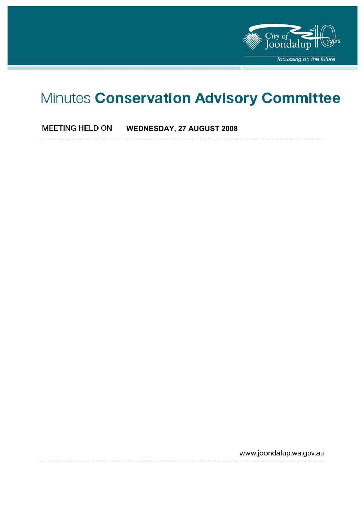

# Minutes Conservation Advisory Committee

**MEETING HELD ON WEDNESDAY, 27 AUGUST 2008** 

www.joondalup.wa.gov.au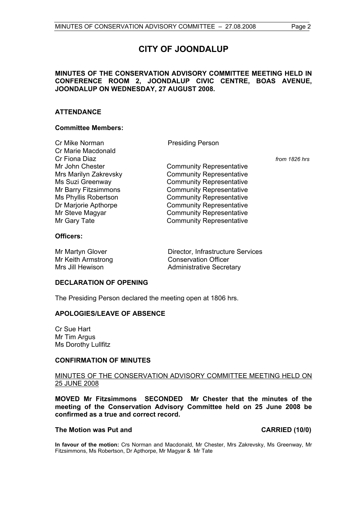# **CITY OF JOONDALUP**

#### **MINUTES OF THE CONSERVATION ADVISORY COMMITTEE MEETING HELD IN CONFERENCE ROOM 2, JOONDALUP CIVIC CENTRE, BOAS AVENUE, JOONDALUP ON WEDNESDAY, 27 AUGUST 2008.**

#### **ATTENDANCE**

#### **Committee Members:**

| Cr Mike Norman        | <b>Presiding Person</b>         |               |
|-----------------------|---------------------------------|---------------|
| Cr Marie Macdonald    |                                 |               |
| Cr Fiona Diaz         |                                 | from 1826 hrs |
| Mr John Chester       | <b>Community Representative</b> |               |
| Mrs Marilyn Zakrevsky | <b>Community Representative</b> |               |
| Ms Suzi Greenway      | <b>Community Representative</b> |               |
| Mr Barry Fitzsimmons  | <b>Community Representative</b> |               |
| Ms Phyllis Robertson  | <b>Community Representative</b> |               |
| Dr Marjorie Apthorpe  | <b>Community Representative</b> |               |
| Mr Steve Magyar       | <b>Community Representative</b> |               |
| Mr Gary Tate          | <b>Community Representative</b> |               |
|                       |                                 |               |

#### **Officers:**

Mr Martyn Glover **Director**, Infrastructure Services Mr Keith Armstrong Conservation Officer Mrs Jill Hewison **Administrative Secretary** 

#### **DECLARATION OF OPENING**

The Presiding Person declared the meeting open at 1806 hrs.

### **APOLOGIES/LEAVE OF ABSENCE**

Cr Sue Hart Mr Tim Argus Ms Dorothy Lullfitz

#### **CONFIRMATION OF MINUTES**

#### MINUTES OF THE CONSERVATION ADVISORY COMMITTEE MEETING HELD ON 25 JUNE 2008

**MOVED Mr Fitzsimmons SECONDED Mr Chester that the minutes of the meeting of the Conservation Advisory Committee held on 25 June 2008 be confirmed as a true and correct record.** 

#### **The Motion was Put and CARRIED (10/0)**

**In favour of the motion:** Crs Norman and Macdonald, Mr Chester, Mrs Zakrevsky, Ms Greenway, Mr Fitzsimmons, Ms Robertson, Dr Apthorpe, Mr Magyar & Mr Tate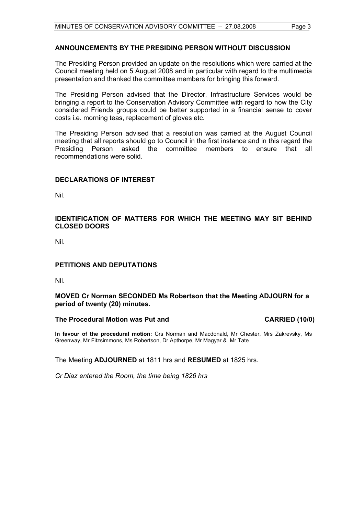#### **ANNOUNCEMENTS BY THE PRESIDING PERSON WITHOUT DISCUSSION**

The Presiding Person provided an update on the resolutions which were carried at the Council meeting held on 5 August 2008 and in particular with regard to the multimedia presentation and thanked the committee members for bringing this forward.

The Presiding Person advised that the Director, Infrastructure Services would be bringing a report to the Conservation Advisory Committee with regard to how the City considered Friends groups could be better supported in a financial sense to cover costs i.e. morning teas, replacement of gloves etc.

The Presiding Person advised that a resolution was carried at the August Council meeting that all reports should go to Council in the first instance and in this regard the Presiding Person asked the committee members to ensure that all recommendations were solid.

#### **DECLARATIONS OF INTEREST**

Nil.

### **IDENTIFICATION OF MATTERS FOR WHICH THE MEETING MAY SIT BEHIND CLOSED DOORS**

Nil.

### **PETITIONS AND DEPUTATIONS**

Nil.

#### **MOVED Cr Norman SECONDED Ms Robertson that the Meeting ADJOURN for a period of twenty (20) minutes.**

#### The Procedural Motion was Put and **CARRIED** (10/0)

**In favour of the procedural motion:** Crs Norman and Macdonald, Mr Chester, Mrs Zakrevsky, Ms Greenway, Mr Fitzsimmons, Ms Robertson, Dr Apthorpe, Mr Magyar & Mr Tate

The Meeting **ADJOURNED** at 1811 hrs and **RESUMED** at 1825 hrs.

*Cr Diaz entered the Room, the time being 1826 hrs*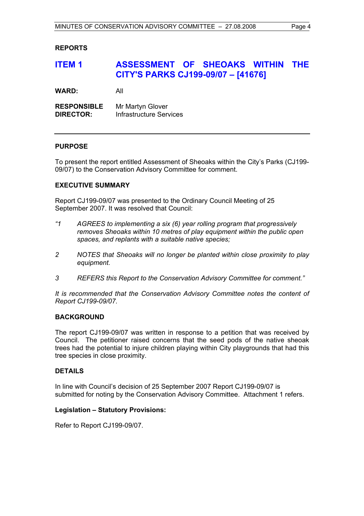#### **REPORTS**

## **ITEM 1 ASSESSMENT OF SHEOAKS WITHIN THE CITY'S PARKS CJ199-09/07 – [41676]**

**WARD:** All

**RESPONSIBLE** Mr Martyn Glover **DIRECTOR:** Infrastructure Services

#### **PURPOSE**

To present the report entitled Assessment of Sheoaks within the City's Parks (CJ199- 09/07) to the Conservation Advisory Committee for comment.

#### **EXECUTIVE SUMMARY**

Report CJ199-09/07 was presented to the Ordinary Council Meeting of 25 September 2007. It was resolved that Council:

- *"1 AGREES to implementing a six (6) year rolling program that progressively removes Sheoaks within 10 metres of play equipment within the public open spaces, and replants with a suitable native species;*
- *2 NOTES that Sheoaks will no longer be planted within close proximity to play equipment.*
- *3 REFERS this Report to the Conservation Advisory Committee for comment."*

*It is recommended that the Conservation Advisory Committee notes the content of Report CJ199-09/07.* 

#### **BACKGROUND**

The report CJ199-09/07 was written in response to a petition that was received by Council. The petitioner raised concerns that the seed pods of the native sheoak trees had the potential to injure children playing within City playgrounds that had this tree species in close proximity.

#### **DETAILS**

In line with Council's decision of 25 September 2007 Report CJ199-09/07 is submitted for noting by the Conservation Advisory Committee. Attachment 1 refers.

#### **Legislation – Statutory Provisions:**

Refer to Report CJ199-09/07.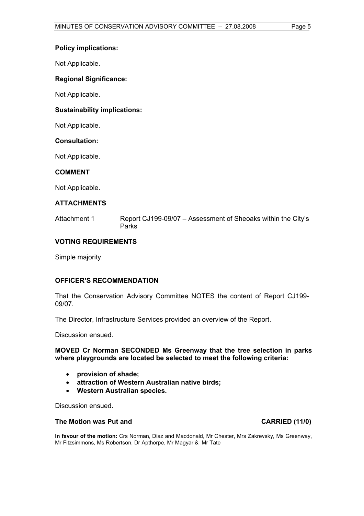#### **Policy implications:**

Not Applicable.

#### **Regional Significance:**

Not Applicable.

#### **Sustainability implications:**

Not Applicable.

#### **Consultation:**

Not Applicable.

#### **COMMENT**

Not Applicable.

#### **ATTACHMENTS**

Attachment 1 Report CJ199-09/07 – Assessment of Sheoaks within the City's Parks

### **VOTING REQUIREMENTS**

Simple majority.

#### **OFFICER'S RECOMMENDATION**

That the Conservation Advisory Committee NOTES the content of Report CJ199- 09/07.

The Director, Infrastructure Services provided an overview of the Report.

Discussion ensued.

#### **MOVED Cr Norman SECONDED Ms Greenway that the tree selection in parks where playgrounds are located be selected to meet the following criteria:**

- **provision of shade;**
- **attraction of Western Australian native birds;**
- **Western Australian species.**

Discussion ensued.

#### **The Motion was Put and CARRIED (11/0)**

**In favour of the motion:** Crs Norman, Diaz and Macdonald, Mr Chester, Mrs Zakrevsky, Ms Greenway, Mr Fitzsimmons, Ms Robertson, Dr Apthorpe, Mr Magyar & Mr Tate